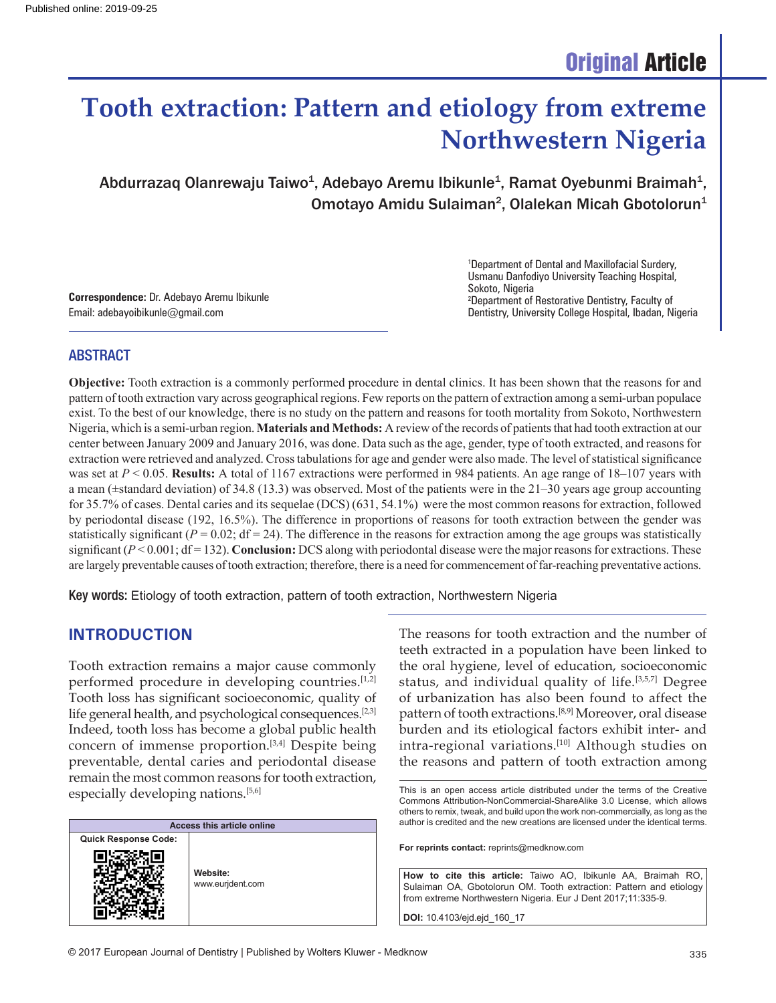# **Tooth extraction: Pattern and etiology from extreme Northwestern Nigeria**

Abdurrazaq Olanrewaju Taiwo<sup>1</sup>, Adebayo Aremu Ibikunle<sup>1</sup>, Ramat Oyebunmi Braimah<sup>1</sup>, Omotayo Amidu Sulaiman<sup>2</sup>, Olalekan Micah Gbotolorun<sup>1</sup>

**Correspondence:** Dr. Adebayo Aremu Ibikunle Email: adebayoibikunle@gmail.com

1 Department of Dental and Maxillofacial Surdery, Usmanu Danfodiyo University Teaching Hospital, Sokoto, Nigeria 2 Department of Restorative Dentistry, Faculty of Dentistry, University College Hospital, Ibadan, Nigeria

#### ABSTRACT

**Objective:** Tooth extraction is a commonly performed procedure in dental clinics. It has been shown that the reasons for and pattern of tooth extraction vary across geographical regions. Few reports on the pattern of extraction among a semi-urban populace exist. To the best of our knowledge, there is no study on the pattern and reasons for tooth mortality from Sokoto, Northwestern Nigeria, which is a semi-urban region. **Materials and Methods:** A review of the records of patients that had tooth extraction at our center between January 2009 and January 2016, was done. Data such as the age, gender, type of tooth extracted, and reasons for extraction were retrieved and analyzed. Cross tabulations for age and gender were also made. The level of statistical significance was set at  $P < 0.05$ . **Results:** A total of 1167 extractions were performed in 984 patients. An age range of 18–107 years with a mean ( $\pm$ standard deviation) of 34.8 (13.3) was observed. Most of the patients were in the 21–30 years age group accounting for 35.7% of cases. Dental caries and its sequelae (DCS) (631, 54.1%) were the most common reasons for extraction, followed by periodontal disease (192, 16.5%). The difference in proportions of reasons for tooth extraction between the gender was statistically significant  $(P = 0.02$ ;  $df = 24$ ). The difference in the reasons for extraction among the age groups was statistically significant  $(P < 0.001$ ; df = 132). **Conclusion:** DCS along with periodontal disease were the major reasons for extractions. These are largely preventable causes of tooth extraction; therefore, there is a need for commencement of far-reaching preventative actions.

Key words: Etiology of tooth extraction, pattern of tooth extraction, Northwestern Nigeria

#### **INTRODUCTION**

Tooth extraction remains a major cause commonly performed procedure in developing countries.[1,2] Tooth loss has significant socioeconomic, quality of life general health, and psychological consequences.[2,3] Indeed, tooth loss has become a global public health concern of immense proportion.[3,4] Despite being preventable, dental caries and periodontal disease remain the most common reasons for tooth extraction, especially developing nations.[5,6]

| <b>Access this article online</b> |                              |  |  |  |  |
|-----------------------------------|------------------------------|--|--|--|--|
| <b>Quick Response Code:</b>       |                              |  |  |  |  |
|                                   | Website:<br>www.eurjdent.com |  |  |  |  |

The reasons for tooth extraction and the number of teeth extracted in a population have been linked to the oral hygiene, level of education, socioeconomic status, and individual quality of life.[3,5,7] Degree of urbanization has also been found to affect the pattern of tooth extractions.[8,9] Moreover, oral disease burden and its etiological factors exhibit inter- and intra-regional variations.<sup>[10]</sup> Although studies on the reasons and pattern of tooth extraction among

**For reprints contact:** reprints@medknow.com

**How to cite this article:** Taiwo AO, Ibikunle AA, Braimah RO, Sulaiman OA, Gbotolorun OM. Tooth extraction: Pattern and etiology from extreme Northwestern Nigeria. Eur J Dent 2017;11:335-9.

**DOI:** 10.4103/ejd.ejd\_160\_17

This is an open access article distributed under the terms of the Creative Commons Attribution-NonCommercial-ShareAlike 3.0 License, which allows others to remix, tweak, and build upon the work non-commercially, as long as the author is credited and the new creations are licensed under the identical terms.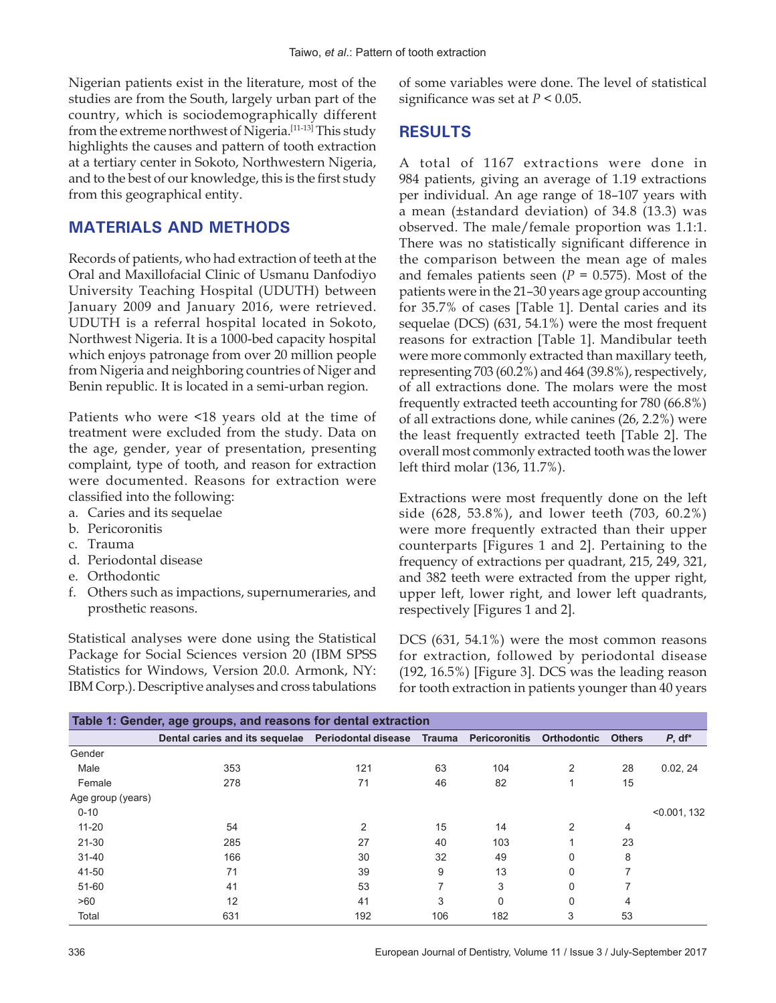Nigerian patients exist in the literature, most of the studies are from the South, largely urban part of the country, which is sociodemographically different from the extreme northwest of Nigeria.[11‑13] This study highlights the causes and pattern of tooth extraction at a tertiary center in Sokoto, Northwestern Nigeria, and to the best of our knowledge, this is the first study from this geographical entity.

### **MATERIALS AND METHODS**

Records of patients, who had extraction of teeth at the Oral and Maxillofacial Clinic of Usmanu Danfodiyo University Teaching Hospital (UDUTH) between January 2009 and January 2016, were retrieved. UDUTH is a referral hospital located in Sokoto, Northwest Nigeria. It is a 1000‑bed capacity hospital which enjoys patronage from over 20 million people from Nigeria and neighboring countries of Niger and Benin republic. It is located in a semi-urban region.

Patients who were <18 years old at the time of treatment were excluded from the study. Data on the age, gender, year of presentation, presenting complaint, type of tooth, and reason for extraction were documented. Reasons for extraction were classified into the following:

- a. Caries and its sequelae
- b. Pericoronitis
- c. Trauma
- d. Periodontal disease
- e. Orthodontic
- f. Others such as impactions, supernumeraries, and prosthetic reasons.

Statistical analyses were done using the Statistical Package for Social Sciences version 20 (IBM SPSS Statistics for Windows, Version 20.0. Armonk, NY: IBM Corp.). Descriptive analyses and cross tabulations of some variables were done. The level of statistical significance was set at *P* < 0.05.

## **RESULTS**

A total of 1167 extractions were done in 984 patients, giving an average of 1.19 extractions per individual. An age range of 18–107 years with a mean (±standard deviation) of 34.8 (13.3) was observed. The male/female proportion was 1.1:1. There was no statistically significant difference in the comparison between the mean age of males and females patients seen  $(P = 0.575)$ . Most of the patients were in the 21–30 years age group accounting for 35.7% of cases [Table 1]. Dental caries and its sequelae (DCS) (631, 54.1%) were the most frequent reasons for extraction [Table 1]. Mandibular teeth were more commonly extracted than maxillary teeth, representing 703 (60.2%) and 464 (39.8%), respectively, of all extractions done. The molars were the most frequently extracted teeth accounting for 780 (66.8%) of all extractions done, while canines (26, 2.2%) were the least frequently extracted teeth [Table 2]. The overall most commonly extracted tooth was the lower left third molar (136, 11.7%).

Extractions were most frequently done on the left side (628, 53.8%), and lower teeth (703, 60.2%) were more frequently extracted than their upper counterparts [Figures 1 and 2]. Pertaining to the frequency of extractions per quadrant, 215, 249, 321, and 382 teeth were extracted from the upper right, upper left, lower right, and lower left quadrants, respectively [Figures 1 and 2].

DCS (631, 54.1%) were the most common reasons for extraction, followed by periodontal disease (192, 16.5%) [Figure 3]. DCS was the leading reason for tooth extraction in patients younger than 40 years

| Table 1: Gender, age groups, and reasons for dental extraction |                                                                            |     |     |          |                    |               |              |  |  |  |
|----------------------------------------------------------------|----------------------------------------------------------------------------|-----|-----|----------|--------------------|---------------|--------------|--|--|--|
|                                                                | Dental caries and its sequelae  Periodontal disease  Trauma  Pericoronitis |     |     |          | <b>Orthodontic</b> | <b>Others</b> | $P, df^*$    |  |  |  |
| Gender                                                         |                                                                            |     |     |          |                    |               |              |  |  |  |
| Male                                                           | 353                                                                        | 121 | 63  | 104      | 2                  | 28            | 0.02, 24     |  |  |  |
| Female                                                         | 278                                                                        | 71  | 46  | 82       |                    | 15            |              |  |  |  |
| Age group (years)                                              |                                                                            |     |     |          |                    |               |              |  |  |  |
| $0 - 10$                                                       |                                                                            |     |     |          |                    |               | < 0.001, 132 |  |  |  |
| $11 - 20$                                                      | 54                                                                         | 2   | 15  | 14       | $\mathcal{P}$      | 4             |              |  |  |  |
| $21 - 30$                                                      | 285                                                                        | 27  | 40  | 103      |                    | 23            |              |  |  |  |
| $31 - 40$                                                      | 166                                                                        | 30  | 32  | 49       | 0                  | 8             |              |  |  |  |
| 41-50                                                          | 71                                                                         | 39  | 9   | 13       | 0                  | 7             |              |  |  |  |
| 51-60                                                          | 41                                                                         | 53  |     | 3        | 0                  |               |              |  |  |  |
| >60                                                            | 12                                                                         | 41  | 3   | $\Omega$ | $\Omega$           | 4             |              |  |  |  |
| Total                                                          | 631                                                                        | 192 | 106 | 182      | 3                  | 53            |              |  |  |  |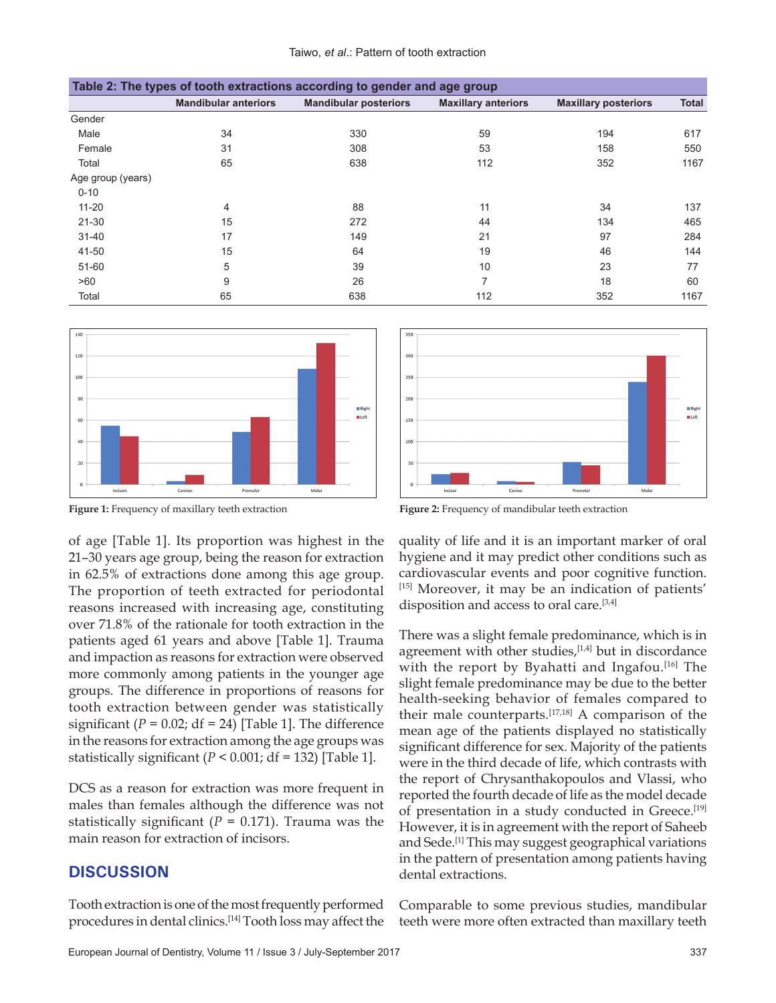| Table 2: The types of tooth extractions according to gender and age group |                             |                              |                            |                             |              |  |  |  |  |
|---------------------------------------------------------------------------|-----------------------------|------------------------------|----------------------------|-----------------------------|--------------|--|--|--|--|
|                                                                           | <b>Mandibular anteriors</b> | <b>Mandibular posteriors</b> | <b>Maxillary anteriors</b> | <b>Maxillary posteriors</b> | <b>Total</b> |  |  |  |  |
| Gender                                                                    |                             |                              |                            |                             |              |  |  |  |  |
| Male                                                                      | 34                          | 330                          | 59                         | 194                         | 617          |  |  |  |  |
| Female                                                                    | 31                          | 308                          | 53                         | 158                         | 550          |  |  |  |  |
| Total                                                                     | 65                          | 638                          | 112                        | 352                         | 1167         |  |  |  |  |
| Age group (years)                                                         |                             |                              |                            |                             |              |  |  |  |  |
| $0 - 10$                                                                  |                             |                              |                            |                             |              |  |  |  |  |
| $11 - 20$                                                                 | 4                           | 88                           | 11                         | 34                          | 137          |  |  |  |  |
| $21 - 30$                                                                 | 15                          | 272                          | 44                         | 134                         | 465          |  |  |  |  |
| $31 - 40$                                                                 | 17                          | 149                          | 21                         | 97                          | 284          |  |  |  |  |
| 41-50                                                                     | 15                          | 64                           | 19                         | 46                          | 144          |  |  |  |  |
| $51 - 60$                                                                 | 5                           | 39                           | 10                         | 23                          | 77           |  |  |  |  |
| >60                                                                       | 9                           | 26                           | 7                          | 18                          | 60           |  |  |  |  |
| Total                                                                     | 65                          | 638                          | 112                        | 352                         | 1167         |  |  |  |  |



**Figure 1:** Frequency of maxillary teeth extraction **Figure 2:** Frequency of mandibular teeth extraction

of age [Table 1]. Its proportion was highest in the 21–30 years age group, being the reason for extraction in 62.5% of extractions done among this age group. The proportion of teeth extracted for periodontal reasons increased with increasing age, constituting over 71.8% of the rationale for tooth extraction in the patients aged 61 years and above [Table 1]. Trauma and impaction as reasons for extraction were observed more commonly among patients in the younger age groups. The difference in proportions of reasons for tooth extraction between gender was statistically significant  $(P = 0.02; df = 24)$  [Table 1]. The difference in the reasons for extraction among the age groups was statistically significant  $(P < 0.001$ ; df = 132) [Table 1].

DCS as a reason for extraction was more frequent in males than females although the difference was not statistically significant ( $P = 0.171$ ). Trauma was the main reason for extraction of incisors.

#### **DISCUSSION**

Tooth extraction is one of the most frequently performed procedures in dental clinics.[14] Tooth loss may affect the



quality of life and it is an important marker of oral hygiene and it may predict other conditions such as cardiovascular events and poor cognitive function. [15] Moreover, it may be an indication of patients' disposition and access to oral care.[3,4]

There was a slight female predominance, which is in agreement with other studies, $[1,4]$  but in discordance with the report by Byahatti and Ingafou.<sup>[16]</sup> The slight female predominance may be due to the better health‑seeking behavior of females compared to their male counterparts.[17,18] A comparison of the mean age of the patients displayed no statistically significant difference for sex. Majority of the patients were in the third decade of life, which contrasts with the report of Chrysanthakopoulos and Vlassi, who reported the fourth decade of life as the model decade of presentation in a study conducted in Greece.[19] However, it is in agreement with the report of Saheeb and Sede.[1] This may suggest geographical variations in the pattern of presentation among patients having dental extractions.

Comparable to some previous studies, mandibular teeth were more often extracted than maxillary teeth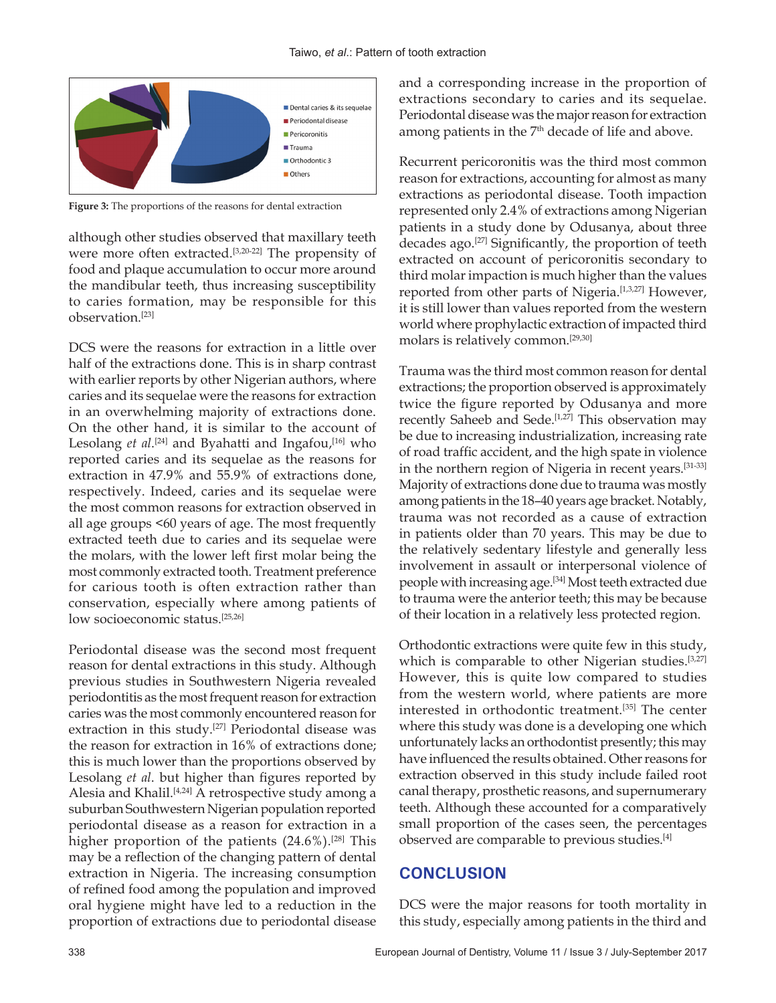

**Figure 3:** The proportions of the reasons for dental extraction

although other studies observed that maxillary teeth were more often extracted.<sup>[3,20-22]</sup> The propensity of food and plaque accumulation to occur more around the mandibular teeth, thus increasing susceptibility to caries formation, may be responsible for this observation.[23]

DCS were the reasons for extraction in a little over half of the extractions done. This is in sharp contrast with earlier reports by other Nigerian authors, where caries and its sequelae were the reasons for extraction in an overwhelming majority of extractions done. On the other hand, it is similar to the account of Lesolang *et al*. [24] and Byahatti and Ingafou,[16] who reported caries and its sequelae as the reasons for extraction in 47.9% and 55.9% of extractions done, respectively. Indeed, caries and its sequelae were the most common reasons for extraction observed in all age groups <60 years of age. The most frequently extracted teeth due to caries and its sequelae were the molars, with the lower left first molar being the most commonly extracted tooth. Treatment preference for carious tooth is often extraction rather than conservation, especially where among patients of low socioeconomic status.[25,26]

Periodontal disease was the second most frequent reason for dental extractions in this study. Although previous studies in Southwestern Nigeria revealed periodontitis as the most frequent reason for extraction caries was the most commonly encountered reason for extraction in this study.<sup>[27]</sup> Periodontal disease was the reason for extraction in 16% of extractions done; this is much lower than the proportions observed by Lesolang *et al*. but higher than figures reported by Alesia and Khalil.<sup>[4,24]</sup> A retrospective study among a suburban Southwestern Nigerian population reported periodontal disease as a reason for extraction in a higher proportion of the patients  $(24.6\%)$ .<sup>[28]</sup> This may be a reflection of the changing pattern of dental extraction in Nigeria. The increasing consumption of refined food among the population and improved oral hygiene might have led to a reduction in the proportion of extractions due to periodontal disease

and a corresponding increase in the proportion of extractions secondary to caries and its sequelae. Periodontal disease was the major reason for extraction among patients in the 7<sup>th</sup> decade of life and above.

Recurrent pericoronitis was the third most common reason for extractions, accounting for almost as many extractions as periodontal disease. Tooth impaction represented only 2.4% of extractions among Nigerian patients in a study done by Odusanya, about three decades ago.<sup>[27]</sup> Significantly, the proportion of teeth extracted on account of pericoronitis secondary to third molar impaction is much higher than the values reported from other parts of Nigeria.<sup>[1,3,27]</sup> However, it is still lower than values reported from the western world where prophylactic extraction of impacted third molars is relatively common.[29,30]

Trauma was the third most common reason for dental extractions; the proportion observed is approximately twice the figure reported by Odusanya and more recently Saheeb and Sede.<sup>[1,27]</sup> This observation may be due to increasing industrialization, increasing rate of road traffic accident, and the high spate in violence in the northern region of Nigeria in recent years.[31‑33] Majority of extractions done due to trauma was mostly among patients in the 18–40 years age bracket. Notably, trauma was not recorded as a cause of extraction in patients older than 70 years. This may be due to the relatively sedentary lifestyle and generally less involvement in assault or interpersonal violence of people with increasing age.[34] Most teeth extracted due to trauma were the anterior teeth; this may be because of their location in a relatively less protected region.

Orthodontic extractions were quite few in this study, which is comparable to other Nigerian studies.<sup>[3,27]</sup> However, this is quite low compared to studies from the western world, where patients are more interested in orthodontic treatment.[35] The center where this study was done is a developing one which unfortunately lacks an orthodontist presently; this may have influenced the results obtained. Other reasons for extraction observed in this study include failed root canal therapy, prosthetic reasons, and supernumerary teeth. Although these accounted for a comparatively small proportion of the cases seen, the percentages observed are comparable to previous studies.<sup>[4]</sup>

# **CONCLUSION**

DCS were the major reasons for tooth mortality in this study, especially among patients in the third and